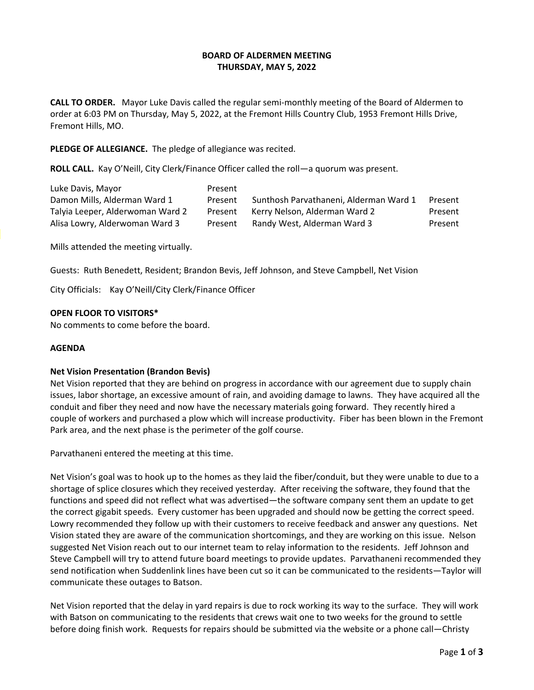# **BOARD OF ALDERMEN MEETING THURSDAY, MAY 5, 2022**

**CALL TO ORDER.** Mayor Luke Davis called the regular semi-monthly meeting of the Board of Aldermen to order at 6:03 PM on Thursday, May 5, 2022, at the Fremont Hills Country Club, 1953 Fremont Hills Drive, Fremont Hills, MO.

## **PLEDGE OF ALLEGIANCE.** The pledge of allegiance was recited.

**ROLL CALL.** Kay O'Neill, City Clerk/Finance Officer called the roll—a quorum was present.

| Luke Davis, Mayor                | Present |                                        |         |
|----------------------------------|---------|----------------------------------------|---------|
| Damon Mills, Alderman Ward 1     | Present | Sunthosh Parvathaneni, Alderman Ward 1 | Present |
| Talyia Leeper, Alderwoman Ward 2 | Present | Kerry Nelson, Alderman Ward 2          | Present |
| Alisa Lowry, Alderwoman Ward 3   | Present | Randy West, Alderman Ward 3            | Present |

Mills attended the meeting virtually.

Guests: Ruth Benedett, Resident; Brandon Bevis, Jeff Johnson, and Steve Campbell, Net Vision

City Officials: Kay O'Neill/City Clerk/Finance Officer

## **OPEN FLOOR TO VISITORS\***

No comments to come before the board.

#### **AGENDA**

#### **Net Vision Presentation (Brandon Bevis)**

Net Vision reported that they are behind on progress in accordance with our agreement due to supply chain issues, labor shortage, an excessive amount of rain, and avoiding damage to lawns. They have acquired all the conduit and fiber they need and now have the necessary materials going forward. They recently hired a couple of workers and purchased a plow which will increase productivity. Fiber has been blown in the Fremont Park area, and the next phase is the perimeter of the golf course.

Parvathaneni entered the meeting at this time.

Net Vision's goal was to hook up to the homes as they laid the fiber/conduit, but they were unable to due to a shortage of splice closures which they received yesterday. After receiving the software, they found that the functions and speed did not reflect what was advertised—the software company sent them an update to get the correct gigabit speeds. Every customer has been upgraded and should now be getting the correct speed. Lowry recommended they follow up with their customers to receive feedback and answer any questions. Net Vision stated they are aware of the communication shortcomings, and they are working on this issue. Nelson suggested Net Vision reach out to our internet team to relay information to the residents. Jeff Johnson and Steve Campbell will try to attend future board meetings to provide updates. Parvathaneni recommended they send notification when Suddenlink lines have been cut so it can be communicated to the residents—Taylor will communicate these outages to Batson.

Net Vision reported that the delay in yard repairs is due to rock working its way to the surface. They will work with Batson on communicating to the residents that crews wait one to two weeks for the ground to settle before doing finish work. Requests for repairs should be submitted via the website or a phone call—Christy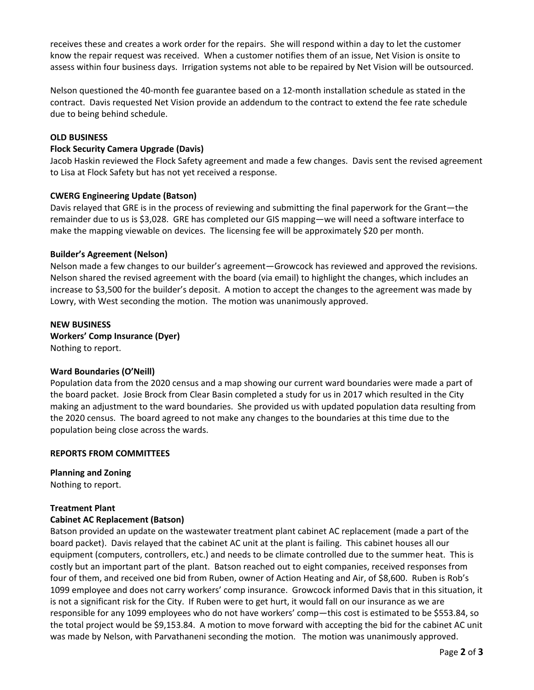receives these and creates a work order for the repairs. She will respond within a day to let the customer know the repair request was received. When a customer notifies them of an issue, Net Vision is onsite to assess within four business days. Irrigation systems not able to be repaired by Net Vision will be outsourced.

Nelson questioned the 40-month fee guarantee based on a 12-month installation schedule as stated in the contract. Davis requested Net Vision provide an addendum to the contract to extend the fee rate schedule due to being behind schedule.

# **OLD BUSINESS**

## **Flock Security Camera Upgrade (Davis)**

Jacob Haskin reviewed the Flock Safety agreement and made a few changes. Davis sent the revised agreement to Lisa at Flock Safety but has not yet received a response.

## **CWERG Engineering Update (Batson)**

Davis relayed that GRE is in the process of reviewing and submitting the final paperwork for the Grant—the remainder due to us is \$3,028. GRE has completed our GIS mapping—we will need a software interface to make the mapping viewable on devices. The licensing fee will be approximately \$20 per month.

## **Builder's Agreement (Nelson)**

Nelson made a few changes to our builder's agreement—Growcock has reviewed and approved the revisions. Nelson shared the revised agreement with the board (via email) to highlight the changes, which includes an increase to \$3,500 for the builder's deposit. A motion to accept the changes to the agreement was made by Lowry, with West seconding the motion. The motion was unanimously approved.

# **NEW BUSINESS Workers' Comp Insurance (Dyer)** Nothing to report.

#### **Ward Boundaries (O'Neill)**

Population data from the 2020 census and a map showing our current ward boundaries were made a part of the board packet. Josie Brock from Clear Basin completed a study for us in 2017 which resulted in the City making an adjustment to the ward boundaries. She provided us with updated population data resulting from the 2020 census. The board agreed to not make any changes to the boundaries at this time due to the population being close across the wards.

#### **REPORTS FROM COMMITTEES**

**Planning and Zoning** Nothing to report.

# **Treatment Plant**

# **Cabinet AC Replacement (Batson)**

Batson provided an update on the wastewater treatment plant cabinet AC replacement (made a part of the board packet). Davis relayed that the cabinet AC unit at the plant is failing. This cabinet houses all our equipment (computers, controllers, etc.) and needs to be climate controlled due to the summer heat. This is costly but an important part of the plant. Batson reached out to eight companies, received responses from four of them, and received one bid from Ruben, owner of Action Heating and Air, of \$8,600. Ruben is Rob's 1099 employee and does not carry workers' comp insurance. Growcock informed Davis that in this situation, it is not a significant risk for the City. If Ruben were to get hurt, it would fall on our insurance as we are responsible for any 1099 employees who do not have workers' comp—this cost is estimated to be \$553.84, so the total project would be \$9,153.84. A motion to move forward with accepting the bid for the cabinet AC unit was made by Nelson, with Parvathaneni seconding the motion. The motion was unanimously approved.